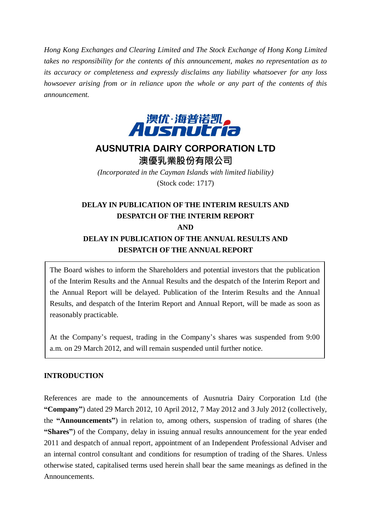*Hong Kong Exchanges and Clearing Limited and The Stock Exchange of Hong Kong Limited takes no responsibility for the contents of this announcement, makes no representation as to its accuracy or completeness and expressly disclaims any liability whatsoever for any loss howsoever arising from or in reliance upon the whole or any part of the contents of this announcement.*



# **AUSNUTRIA DAIRY CORPORATION LTD** 澳優乳業股份有限公司

*(Incorporated in the Cayman Islands with limited liability)* (Stock code: 1717)

## **DELAY IN PUBLICATION OF THE INTERIM RESULTS AND DESPATCH OF THE INTERIM REPORT AND DELAY IN PUBLICATION OF THE ANNUAL RESULTS AND DESPATCH OF THE ANNUAL REPORT**

The Board wishes to inform the Shareholders and potential investors that the publication of the Interim Results and the Annual Results and the despatch of the Interim Report and the Annual Report will be delayed. Publication of the Interim Results and the Annual Results, and despatch of the Interim Report and Annual Report, will be made as soon as reasonably practicable.

At the Company's request, trading in the Company's shares was suspended from 9:00 a.m. on 29 March 2012, and will remain suspended until further notice.

### **INTRODUCTION**

References are made to the announcements of Ausnutria Dairy Corporation Ltd (the **"Company"**) dated 29 March 2012, 10 April 2012, 7 May 2012 and 3 July 2012 (collectively, the **"Announcements"**) in relation to, among others, suspension of trading of shares (the **"Shares"**) of the Company, delay in issuing annual results announcement for the year ended 2011 and despatch of annual report, appointment of an Independent Professional Adviser and an internal control consultant and conditions for resumption of trading of the Shares. Unless otherwise stated, capitalised terms used herein shall bear the same meanings as defined in the Announcements.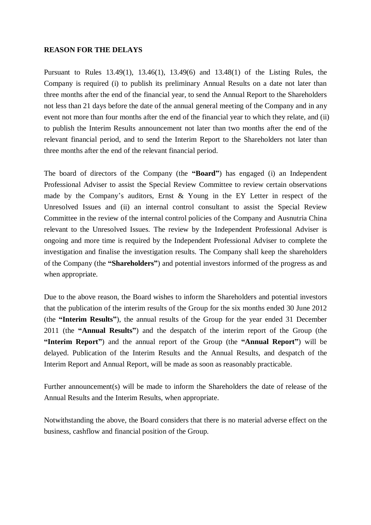#### **REASON FOR THE DELAYS**

Pursuant to Rules 13.49(1), 13.46(1), 13.49(6) and 13.48(1) of the Listing Rules, the Company is required (i) to publish its preliminary Annual Results on a date not later than three months after the end of the financial year, to send the Annual Report to the Shareholders not less than 21 days before the date of the annual general meeting of the Company and in any event not more than four months after the end of the financial year to which they relate, and (ii) to publish the Interim Results announcement not later than two months after the end of the relevant financial period, and to send the Interim Report to the Shareholders not later than three months after the end of the relevant financial period.

The board of directors of the Company (the **"Board"**) has engaged (i) an Independent Professional Adviser to assist the Special Review Committee to review certain observations made by the Company's auditors, Ernst & Young in the EY Letter in respect of the Unresolved Issues and (ii) an internal control consultant to assist the Special Review Committee in the review of the internal control policies of the Company and Ausnutria China relevant to the Unresolved Issues. The review by the Independent Professional Adviser is ongoing and more time is required by the Independent Professional Adviser to complete the investigation and finalise the investigation results. The Company shall keep the shareholders of the Company (the **"Shareholders"**) and potential investors informed of the progress as and when appropriate.

Due to the above reason, the Board wishes to inform the Shareholders and potential investors that the publication of the interim results of the Group for the six months ended 30 June 2012 (the **"Interim Results"**), the annual results of the Group for the year ended 31 December 2011 (the **"Annual Results"**) and the despatch of the interim report of the Group (the **"Interim Report"**) and the annual report of the Group (the **"Annual Report"**) will be delayed. Publication of the Interim Results and the Annual Results, and despatch of the Interim Report and Annual Report, will be made as soon as reasonably practicable.

Further announcement(s) will be made to inform the Shareholders the date of release of the Annual Results and the Interim Results, when appropriate.

Notwithstanding the above, the Board considers that there is no material adverse effect on the business, cashflow and financial position of the Group.